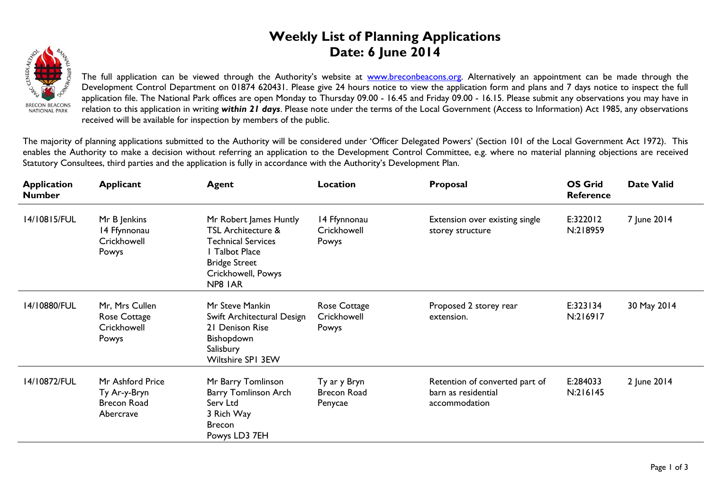## **Weekly List of Planning Applications Date: 6 June 2014**



The full application can be viewed through the Authority's website at **www.breconbeacons.org**. Alternatively an appointment can be made through the Development Control Department on 01874 620431. Please give 24 hours notice to view the application form and plans and 7 days notice to inspect the full application file. The National Park offices are open Monday to Thursday 09.00 - 16.45 and Friday 09.00 - 16.15. Please submit any observations you may have in relation to this application in writing *within 21 days*. Please note under the terms of the Local Government (Access to Information) Act 1985, any observations received will be available for inspection by members of the public.

The majority of planning applications submitted to the Authority will be considered under 'Officer Delegated Powers' (Section 101 of the Local Government Act 1972). This enables the Authority to make a decision without referring an application to the Development Control Committee, e.g. where no material planning objections are received Statutory Consultees, third parties and the application is fully in accordance with the Authority's Development Plan.

| <b>Application</b><br><b>Number</b> | <b>Applicant</b>                                                    | <b>Agent</b>                                                                                                                                                    | Location                                      | Proposal                                                               | <b>OS Grid</b><br><b>Reference</b> | <b>Date Valid</b> |
|-------------------------------------|---------------------------------------------------------------------|-----------------------------------------------------------------------------------------------------------------------------------------------------------------|-----------------------------------------------|------------------------------------------------------------------------|------------------------------------|-------------------|
| 14/10815/FUL                        | Mr B Jenkins<br>14 Ffynnonau<br>Crickhowell<br>Powys                | Mr Robert James Huntly<br><b>TSL Architecture &amp;</b><br><b>Technical Services</b><br>I Talbot Place<br><b>Bridge Street</b><br>Crickhowell, Powys<br>NP8 IAR | 14 Ffynnonau<br>Crickhowell<br>Powys          | Extension over existing single<br>storey structure                     | E:322012<br>N:218959               | 7 June 2014       |
| 14/10880/FUL                        | Mr, Mrs Cullen<br>Rose Cottage<br>Crickhowell<br>Powys              | Mr Steve Mankin<br>Swift Architectural Design<br>21 Denison Rise<br>Bishopdown<br>Salisbury<br>Wiltshire SPI 3EW                                                | Rose Cottage<br>Crickhowell<br>Powys          | Proposed 2 storey rear<br>extension.                                   | E:323134<br>N:216917               | 30 May 2014       |
| 14/10872/FUL                        | Mr Ashford Price<br>Ty Ar-y-Bryn<br><b>Brecon Road</b><br>Abercrave | Mr Barry Tomlinson<br><b>Barry Tomlinson Arch</b><br>Serv Ltd<br>3 Rich Way<br><b>Brecon</b><br>Powys LD3 7EH                                                   | Ty ar y Bryn<br><b>Brecon Road</b><br>Penycae | Retention of converted part of<br>barn as residential<br>accommodation | E:284033<br>N:216145               | 2 June 2014       |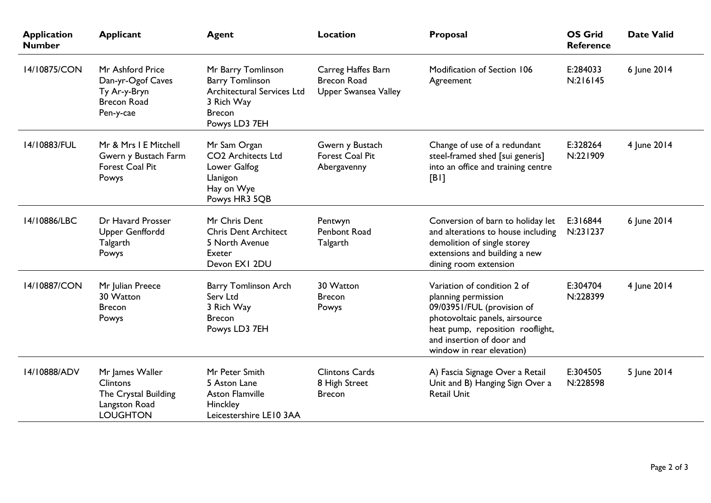| <b>Application</b><br><b>Number</b> | <b>Applicant</b>                                                                               | <b>Agent</b>                                                                                                                      | <b>Location</b>                                                  | Proposal                                                                                                                                                                                                         | <b>OS Grid</b><br><b>Reference</b> | <b>Date Valid</b> |
|-------------------------------------|------------------------------------------------------------------------------------------------|-----------------------------------------------------------------------------------------------------------------------------------|------------------------------------------------------------------|------------------------------------------------------------------------------------------------------------------------------------------------------------------------------------------------------------------|------------------------------------|-------------------|
| 14/10875/CON                        | Mr Ashford Price<br>Dan-yr-Ogof Caves<br>Ty Ar-y-Bryn<br><b>Brecon Road</b><br>Pen-y-cae       | Mr Barry Tomlinson<br><b>Barry Tomlinson</b><br><b>Architectural Services Ltd</b><br>3 Rich Way<br><b>Brecon</b><br>Powys LD3 7EH | Carreg Haffes Barn<br><b>Brecon Road</b><br>Upper Swansea Valley | Modification of Section 106<br>Agreement                                                                                                                                                                         | E:284033<br>N:216145               | 6 June 2014       |
| 14/10883/FUL                        | Mr & Mrs I E Mitchell<br>Gwern y Bustach Farm<br>Forest Coal Pit<br>Powys                      | Mr Sam Organ<br><b>CO2</b> Architects Ltd<br>Lower Galfog<br>Llanigon<br>Hay on Wye<br>Powys HR3 5QB                              | Gwern y Bustach<br><b>Forest Coal Pit</b><br>Abergavenny         | Change of use of a redundant<br>steel-framed shed [sui generis]<br>into an office and training centre<br>[B]                                                                                                     | E:328264<br>N:221909               | 4 June 2014       |
| 14/10886/LBC                        | Dr Havard Prosser<br>Upper Genffordd<br>Talgarth<br>Powys                                      | Mr Chris Dent<br><b>Chris Dent Architect</b><br>5 North Avenue<br>Exeter<br>Devon EXI 2DU                                         | Pentwyn<br>Penbont Road<br>Talgarth                              | Conversion of barn to holiday let<br>and alterations to house including<br>demolition of single storey<br>extensions and building a new<br>dining room extension                                                 | E:316844<br>N:231237               | 6 June 2014       |
| 14/10887/CON                        | Mr Julian Preece<br>30 Watton<br><b>Brecon</b><br>Powys                                        | <b>Barry Tomlinson Arch</b><br>Serv Ltd<br>3 Rich Way<br><b>Brecon</b><br>Powys LD3 7EH                                           | 30 Watton<br><b>Brecon</b><br>Powys                              | Variation of condition 2 of<br>planning permission<br>09/03951/FUL (provision of<br>photovoltaic panels, airsource<br>heat pump, reposition rooflight,<br>and insertion of door and<br>window in rear elevation) | E:304704<br>N:228399               | 4 June 2014       |
| 14/10888/ADV                        | Mr James Waller<br><b>Clintons</b><br>The Crystal Building<br>Langston Road<br><b>LOUGHTON</b> | Mr Peter Smith<br>5 Aston Lane<br><b>Aston Flamville</b><br>Hinckley<br>Leicestershire LE10 3AA                                   | <b>Clintons Cards</b><br>8 High Street<br><b>Brecon</b>          | A) Fascia Signage Over a Retail<br>Unit and B) Hanging Sign Over a<br><b>Retail Unit</b>                                                                                                                         | E:304505<br>N:228598               | 5 June 2014       |